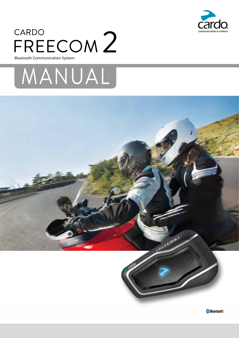

# CARDO<br>LLDLL  **TMFREECOM**

Bluetooth Communication System





**·Bluetooth 0**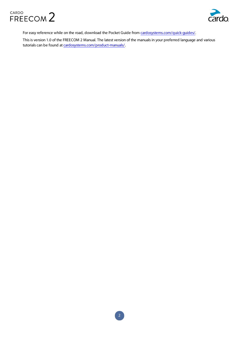



For easy reference while on the road, download the Pocket Guide from cardosystems.com/quick-guides/.

This is version 1.0 of the FREECOM 2 Manual. The latest version of the manuals in your preferred language and various tutorials can be found at cardosystems.com/product-manuals/.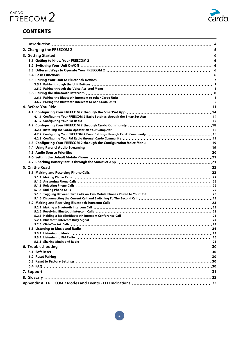

# **CONTENTS**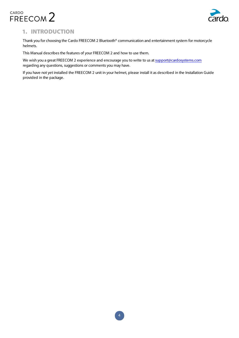



# 1. INTRODUCTION

Thank you for choosing the Cardo FREECOM 2 Bluetooth<sup>®</sup> communication and entertainment system for motorcycle helmets.

This Manual describes the features of your FREECOM 2 and how to use them.

We wish you a great FREECOM 2 experience and encourage you to write to us at support@cardosystems.com regarding any questions, suggestions or comments you may have.

If you have not yet installed the FREECOM 2 unit in your helmet, please install it as described in the Installation Guide provided in the package.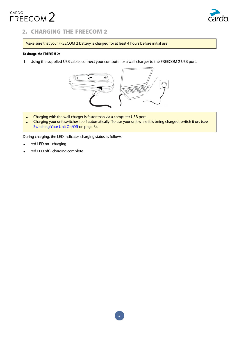

# 2. CHARGING THE FREECOM 2

Make sure that your FREECOM 2 battery is charged for at least 4 hours before initial use.

## To charge the FREECOM 2:

1. Using the supplied USB cable, connect your computer or a wall charger to the FREECOM 2 USB port.



- Charging with the wall charger is faster than via a computer USB port.
- Charging your unit switches it off automatically. To use your unit while it is being charged, switch it on. (see Switching Your Unit On/Off on page 6).

During charging, the LED indicates charging status as follows:

- red LED on charging
- red LED off charging complete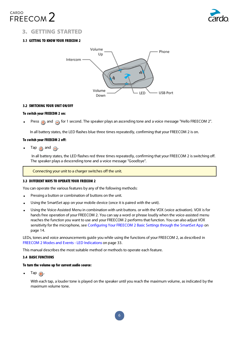



# **3. GETTING STARTED**

# 3.1 GETTING TO KNOW YOUR FREECOM 2



#### 3.2 SWITCHING YOUR UNIT ON/OFF

#### To switch your FREECOM 2 on:

Press  $\bigcirc$  and  $\bigcirc$  for 1 second. The speaker plays an ascending tone and a voice message "Hello FREECOM 2".

In all battery states, the LED flashes blue three times repeatedly, confirming that your FREECOM 2 is on.

#### To switch your FREECOM 2 off:

Tap  $\binom{3}{2}$  and  $\binom{3}{2}$ .

In all battery states, the LED flashes red three times repeatedly, confirming that your FREECOM 2 is switching off. The speaker plays a descending tone and a voice message "Goodbye".

Connecting your unit to a charger switches off the unit.

#### 3.3 DIFFERENT WAYS TO OPERATE YOUR FREECOM 2

You can operate the various features by any of the following methods:

- Pressing a button or combination of buttons on the unit.
- Using the SmartSet app on your mobile device (once it is paired with the unit).
- Using the Voice-Assisted Menu in combination with unit buttons. or with the VOX (voice activation). VOX is for hands free operation of your FREECOM 2. You can say a word or phrase loudly when the voice-assisted menu reaches the function you want to use and your FREECOM 2 performs that function. You can also adjust VOX sensitivity for the microphone, see Configuring Your FREECOM 2 Basic Settings through the SmartSet App on page 14.

LEDs, tones and voice announcements quide you while using the functions of your FREECOM 2, as described in FREECOM 2 Modes and Events - LED Indications on page 33.

This manual describes the most suitable method or methods to operate each feature.

# **3.4 BASIC FUNCTIONS**

#### To turn the volume up for current audio source:

 $\bullet$  Tap  $\bigoplus$ .

With each tap, a louder tone is played on the speaker until you reach the maximum volume, as indicated by the maximum volume tone.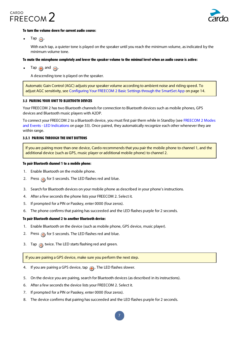



#### To turn the volume down for current audio source:

• Tap  $\bigcirc$ .

With each tap, a quieter tone is played on the speaker until you reach the minimum volume, as indicated by the minimum volume tone.

#### To mute the microphone completely and lower the speaker volume to the minimal level when an audio source is active:

Tap  $\bigoplus$  and  $\bigoplus$ .

A descending tone is played on the speaker.

Automatic Gain Control (AGC) adjusts your speaker volume according to ambient noise and riding speed. To adjust AGC sensitivity, see Configuring Your FREECOM 2 Basic Settings through the SmartSet App on page 14.

#### 3.5 PAIRING YOUR UNIT TO BLUETOOTH DEVICES

Your FREECOM 2 has two Bluetooth channels for connection to Bluetooth devices such as mobile phones, GPS devices and Bluetooth music players with A2DP.

To connect your FREECOM 2 to a Bluetooth device, you must first pair them while in Standby (see FREECOM 2 Modes and Events - LED Indications on page 33). Once paired, they automatically recognize each other whenever they are within range.

#### **BUTTONS IN THROUGH THE UNIT BUTTONS**

If you are pairing more than one device, Cardo recommends that you pair the mobile phone to channel 1, and the additional device (such as GPS, music player or additional mobile phone) to channel 2.

#### To pair Bluetooth channel 1 to a mobile phone:

- 1. Enable Bluetooth on the mobile phone.
- 2. Press  $\bigodot$  for 5 seconds. The LED flashes red and blue.
- 3. Search for Bluetooth devices on your mobile phone as described in your phone's instructions.
- 4. After a few seconds the phone lists your FREECOM 2. Select it.
- 5. If prompted for a PIN or Passkey, enter 0000 (four zeros).
- 6. The phone confirms that pairing has succeeded and the LED flashes purple for 2 seconds.

#### To pair Bluetooth channel 2 to another Bluetooth device:

- 1. Enable Bluetooth on the device (such as mobile phone, GPS device, music player).
- 2. Press  $\bigodot$  for 5 seconds. The LED flashes red and blue.
- 3. Tap  $\bigcirc$  twice. The LED starts flashing red and green.

If you are pairing a GPS device, make sure you perform the next step.

- 4. If you are pairing a GPS device, tap  $\bigoplus$ . The LED flashes slower.
- 5. On the device you are pairing, search for Bluetooth devices (as described in its instructions).
- 6. After a few seconds the device lists your FREECOM 2. Select it.
- 7. If prompted for a PIN or Passkey, enter 0000 (four zeros).
- 8. The device confirms that pairing has succeeded and the LED flashes purple for 2 seconds.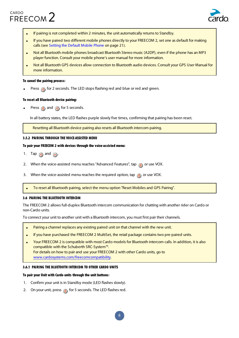

- If pairing is not completed within 2 minutes, the unit automatically returns to Standby.
- If you have paired two different mobile phones directly to your FREECOM 2, set one as default for making calls (see Setting the Default Mobile Phone on page 21).
- Not all Bluetooth mobile phones broadcast Bluetooth Stereo music (A2DP), even if the phone has an MP3 player function. Consult your mobile phone's user manual for more information.
- Not all Bluetooth GPS devices allow connection to Bluetooth audio devices. Consult your GPS User Manual for more information.

#### To cancel the pairing process:

Press  $\odot$  for 2 seconds. The LED stops flashing red and blue or red and green.

#### To reset all Bluetooth device pairing:

Press  $\binom{3}{2}$  and  $\binom{3}{2}$  for 5 seconds.

. In all battery states, the LED flashes purple slowly five times, confirming that pairing has been reset.

Resetting all Bluetooth device pairing also resets all Bluetooth intercom pairing.

#### 3.5.2 PAIRING THROUGH THE VOICE-ASSISTED MENU

#### To pair your FREECOM 2 with devices through the voice-assisted menu:

- 1. Tap  $\bigcirc$  and  $\bigcirc$ .
- 2. When the voice-assisted menu reaches "Advanced Features", tap  $\binom{1}{1}$  or use VOX.
- 3. When the voice-assisted menu reaches the required option, tap  $\binom{3}{2}$  or use VOX.
- To reset all Bluetooth pairing, select the menu option "Reset Mobiles and GPS Pairing".

#### 3.6 PAIRING THE BLUETOOTH INTERCOM

The FREECOM 2 allows full-duplex Bluetooth intercom communication for chatting with another rider on Cardo or non-Cardo units.

To connect your unit to another unit with a Bluetooth intercom, you must first pair their channels.

- Pairing a channel replaces any existing paired unit on that channel with the new unit.
- If you have purchased the FREECOM 2 MultiSet, the retail package contains two pre-paired units.
- Your FREECOM 2 is compatible with most Cardo models for Bluetooth intercom calls. In addition, it is also compatible with the Schuberth SRC-System<sup>™</sup>. For details on how to pair and use your FREECOM 2 with other Cardo units, go to www.cardosystems.com/freecomcompatibility.

#### 3.6.1 PAIRING THE BLUETOOTH INTERCOM TO OTHER CARDO UNITS

## To pair your Unit with Cardo units through the unit buttons:

- 1. Confirm your unit is in Standby mode (LED flashes slowly).
- 2. On your unit, press  $\binom{n}{k}$  for 5 seconds. The LED flashes red.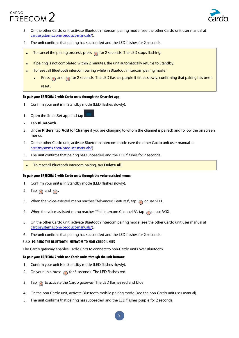

- 3. On the other Cardo unit, activate Bluetooth intercom pairing mode (see the other Cardo unit user manual at .cardosystems.com/product-manuals/)
- 4. The unit confirms that pairing has succeeded and the LED flashes for 2 seconds.
	- To cancel the pairing process, press @ for 2 seconds. The LED stops flashing.
- If pairing is not completed within 2 minutes, the unit automatically returns to Standby.
- To reset all Bluetooth intercom pairing while in Bluetooth intercom pairing mode:
	- Press  $\binom{m}{n}$  and  $\binom{m}{n}$  for 2 seconds. The LED flashes purple 5 times slowly, confirming that pairing has been . reset

## To pair your FREECOM 2 with Cardo units through the SmartSet app:

- 1. Confirm your unit is in Standby mode (LED flashes slowly).
- 1. Open the SmartSet app and tap
- 2. Tap **Bluetooth**.
- 3. Under **Riders**, tap **Add** (or **Change** if you are changing to whom the channel is paired) and follow the on screen menus.
- 4. On the other Cardo unit, activate Bluetooth intercom mode (see the other Cardo unit user manual at cardosystems.com/product-manuals/).
- 5. The unit confirms that pairing has succeeded and the LED flashes for 2 seconds.
- To reset all Bluetooth intercom pairing, tap Delete all.

#### To pair your FREECOM 2 with Cardo units through the voice-assisted menu:

- 1. Confirm your unit is in Standby mode (LED flashes slowly).
- 2. Tap  $\odot$  and  $\odot$ .
- 3. When the voice-assisted menu reaches "Advanced Features", tap (a) or use VOX.
- 4. When the voice-assisted menu reaches "Pair Intercom Channel A", tap on use VOX.
- 5. On the other Cardo unit, activate Bluetooth intercom pairing mode (see the other Cardo unit user manual at cardosystems.com/product-manuals/).
- 6. The unit confirms that pairing has succeeded and the LED flashes for 2 seconds.

# 3.6.2 PAIRING THE BLUETOOTH INTERCOM TO NON-CARDO UNITS

The Cardo gateway enables Cardo units to connect to non-Cardo units over Bluetooth.

#### To pair your FREECOM 2 with non-Cardo units through the unit buttons:

- 1. Confirm your unit is in Standby mode (LED flashes slowly).
- 2. On your unit, press  $\binom{n}{2}$  for 5 seconds. The LED flashes red.
- 3. Tap  $\bigcirc$  to activate the Cardo gateway. The LED flashes red and blue.
- 4. On the non-Cardo unit, activate Bluetooth mobile pairing mode (see the non-Cardo unit user manual).
- 5. The unit confirms that pairing has succeeded and the LED flashes purple for 2 seconds.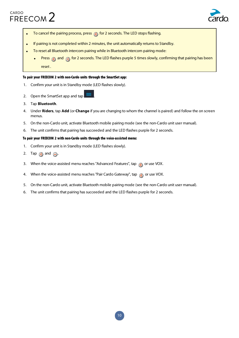

- To cancel the pairing process, press (a) for 2 seconds. The LED stops flashing.
- If pairing is not completed within 2 minutes, the unit automatically returns to Standby.
- To reset all Bluetooth intercom pairing while in Bluetooth intercom pairing mode:
	- Press  $\binom{m}{k}$  and  $\binom{m}{k}$  for 2 seconds. The LED flashes purple 5 times slowly, confirming that pairing has been . reset

#### To pair your FREECOM 2 with non-Cardo units through the SmartSet app:

- 1. Confirm your unit is in Standby mode (LED flashes slowly).
- 2. Open the SmartSet app and tap
- 3. Tap **Bluetooth**.
- 4. Under Riders, tap Add (or Change if you are changing to whom the channel is paired) and follow the on screen menus.
- 5. On the non-Cardo unit, activate Bluetooth mobile pairing mode (see the non-Cardo unit user manual).
- 6. The unit confirms that pairing has succeeded and the LED flashes purple for 2 seconds.

#### To pair your FREECOM 2 with non-Cardo units through the voice-assisted menu:

- 1. Confirm your unit is in Standby mode (LED flashes slowly).
- 2. Tap  $\bigcirc$  and  $\bigcirc$ .
- 3. When the voice-assisted menu reaches "Advanced Features", tap  $\binom{1}{1}$  or use VOX.
- 4. When the voice-assisted menu reaches "Pair Cardo Gateway", tap  $\binom{1}{1}$  or use VOX.
- 5. On the non-Cardo unit, activate Bluetooth mobile pairing mode (see the non-Cardo unit user manual).
- 6. The unit confirms that pairing has succeeded and the LED flashes purple for 2 seconds.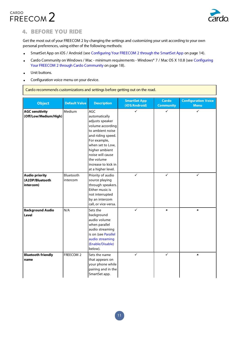

# **4. BEFORE YOU RIDE**

Get the most out of your FREECOM 2 by changing the settings and customizing your unit according to your own personal preferences, using either of the following methods:

- SmartSet App on iOS / Android (see Configuring Your FREECOM 2 through the SmartSet App on page 14).
- Cardo Community on Windows / Mac minimum requirements Windows® 7 / Mac OS X 10.8 (see Configuring Your FREECOM 2 through Cardo Community on page 18).
- Unit buttons.
- Configuration voice menu on your device.

Cardo recommends customizations and settings before getting out on the road.

|                                                       |                       |                                                                                                                                                                                                                                           | <b>SmartSet App</b> | <b>Cardo</b>     | <b>Configuration Voice</b> |
|-------------------------------------------------------|-----------------------|-------------------------------------------------------------------------------------------------------------------------------------------------------------------------------------------------------------------------------------------|---------------------|------------------|----------------------------|
| <b>Object</b>                                         | <b>Default Value</b>  | <b>Description</b>                                                                                                                                                                                                                        | (iOS/Android)       | <b>Community</b> | <b>Menu</b>                |
| <b>AGC sensitivity</b><br>(Off/Low/Medium/High)       | Medium                | AGC<br>automatically<br>adjusts speaker<br>volume according<br>to ambient noise<br>and riding speed.<br>For example,<br>when set to Low,<br>higher ambient<br>noise will cause<br>the volume<br>increase to kick in<br>at a higher level. | $\checkmark$        | ✓                | ✓                          |
| <b>Audio priority</b><br>(A2DP/Bluetooth<br>intercom) | Bluetooth<br>intercom | Priority of audio<br>source playing<br>through speakers.<br>Either music is<br>not interrupted<br>by an intercom<br>call, or vice-versa.                                                                                                  | $\checkmark$        | $\checkmark$     | $\checkmark$               |
| <b>Background Audio</b><br><b>Level</b>               | N/A                   | Sets the<br>background<br>audio volume<br>when parallel<br>audio streaming<br>is on (see Parallel<br>audio streaming<br>(Enable/Disable)<br>below).                                                                                       | ✓                   | $\pmb{\times}$   | $\pmb{\times}$             |
| <b>Bluetooth friendly</b><br>name                     | FREECOM 2             | Sets the name<br>that appears on<br>your phone while<br>pairing and in the<br>SmartSet app.                                                                                                                                               | ✓                   | $\checkmark$     | $\pmb{\times}$             |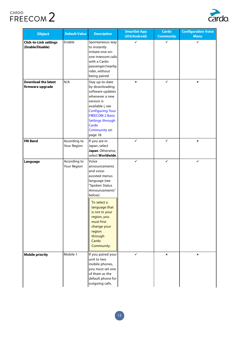

| <b>Object</b>                                     | <b>Default Value</b>        | <b>Description</b>                                                                                                                                                                                                                                               | <b>SmartSet App</b><br>(iOS/Android) | <b>Cardo</b><br><b>Community</b> | <b>Configuration Voice</b><br><b>Menu</b> |
|---------------------------------------------------|-----------------------------|------------------------------------------------------------------------------------------------------------------------------------------------------------------------------------------------------------------------------------------------------------------|--------------------------------------|----------------------------------|-------------------------------------------|
| <b>Click-to-Link settings</b><br>(Enable/Disable) | Enable                      | Spontaneous way<br>to instantly<br>initiate one-on-<br>one intercom calls<br>with a Cardo<br>passenger/nearby<br>rider, without<br>being paired.                                                                                                                 | ✓                                    | ✓                                | ✓                                         |
| <b>Download the latest</b><br>firmware upgrade    | N/A                         | Stay up-to-date<br>by downloading<br>software updates<br>whenever a new<br>version is<br>available (, see<br><b>Configuring Your</b><br><b>FREECOM 2 Basic</b><br><b>Settings through</b><br>Cardo<br><b>Community on</b><br>page 18.                            | $\pmb{\times}$                       | $\checkmark$                     | $\pmb{\times}$                            |
| <b>FM Band</b>                                    | According to<br>Your Region | If you are in<br>Japan, select<br>Japan. Otherwise,<br>select Worldwide.                                                                                                                                                                                         | ✓                                    | ✓                                | $\pmb{\times}$                            |
| Language                                          | According to<br>Your Region | Voice<br>announcements<br>and voice-<br>assisted menus<br>language (see<br>"Spoken Status<br>Announcements"<br>below).<br>To select a<br>language that<br>is not in your<br>region, you<br>must first<br>change your<br>region<br>through<br>Cardo<br>Community. | $\checkmark$                         | $\checkmark$                     | ✓                                         |
| <b>Mobile priority</b>                            | Mobile 1                    | If you paired your<br>unit to two<br>mobile phones,<br>you must set one<br>of them as the<br>default phone for<br>outgoing calls.                                                                                                                                | ✓                                    | ×                                | $\pmb{\times}$                            |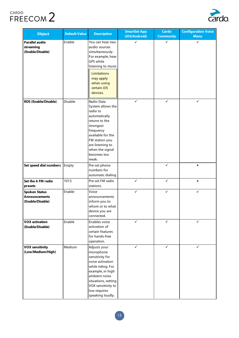

| <b>Object</b>                                                              | <b>Default Value</b> | <b>Description</b>                                                                                                                                                                                           | <b>SmartSet App</b><br>(iOS/Android) | <b>Cardo</b><br><b>Community</b> | <b>Configuration Voice</b><br><b>Menu</b> |
|----------------------------------------------------------------------------|----------------------|--------------------------------------------------------------------------------------------------------------------------------------------------------------------------------------------------------------|--------------------------------------|----------------------------------|-------------------------------------------|
| <b>Parallel audio</b><br>streaming<br>(Enable/Disable)                     | Enable               | You can hear two<br>audio sources<br>simultaneously.<br>For example, hear<br>GPS while<br>listening to music.<br><b>Limitations</b><br>may apply<br>when using<br>certain iOS<br>devices.                    | ✓                                    | ✓                                | ✓                                         |
| <b>RDS (Enable/Disable)</b>                                                | Disable              |                                                                                                                                                                                                              | ✓                                    | ✓                                | ✓                                         |
| Set speed dial numbers                                                     | Empty                | Pre-set phone<br>numbers for<br>automatic dialing.                                                                                                                                                           |                                      | ✓                                | $\pmb{\times}$                            |
| Set the 6 FM radio<br>presets                                              | 107.5                | Pre-set FM radio<br>stations.                                                                                                                                                                                | ✓                                    | $\checkmark$                     | $\pmb{\times}$                            |
| Enable<br><b>Spoken Status</b><br><b>Announcements</b><br>(Enable/Disable) |                      | Voice<br>announcements<br>inform you to<br>whom or to what<br>device you are<br>connected.                                                                                                                   | ✓                                    |                                  | ✓                                         |
| <b>VOX activation</b><br>(Enable/Disable)                                  | Enable               | Enables voice<br>activation of<br>certain features<br>for hands-free<br>operation.                                                                                                                           | ✓                                    | $\checkmark$                     | ✓                                         |
| <b>VOX sensitivity</b><br>(Low/Medium/High)                                | Medium               | Adjusts your<br>microphone<br>sensitivity for<br>voice activation<br>while riding. For<br>example, in high<br>ambient noise<br>situations, setting<br>VOX sensitivity to<br>low requires<br>speaking loudly. | ✓                                    | $\checkmark$                     | $\checkmark$                              |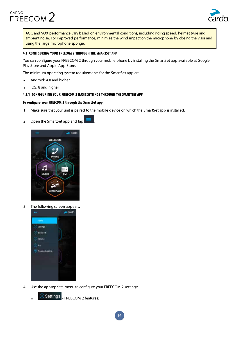

AGC and VOX performance vary based on environmental conditions, including riding speed, helmet type and ambient noise. For improved performance, minimize the wind impact on the microphone by closing the visor and using the large microphone sponge.

## 4.1 CONFIGURING YOUR FREECOM 2 THROUGH THE SMARTSET APP

You can configure your FREECOM 2 through your mobile phone by installing the SmartSet app available at Google Play Store and Apple App Store.

The minimum operating system requirements for the SmartSet app are:

- Android: 4.0 and higher
- IOS: 8 and higher

### 4.1.1 CONFIGURING YOUR FREECOM 2 BASIC SETTINGS THROUGH THE SMARTSET APP

#### To configure your FREECOM 2 through the SmartSet app:

- 1. Make sure that your unit is paired to the mobile device on which the SmartSet app is installed.
- 2. Open the SmartSet app and tap



3. The following screen appears.



4. Use the appropriate menu to configure your FREECOM 2 settings:

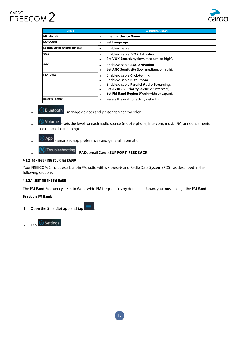

| <b>Group</b>                       | <b>Description/Options</b>                                                                                                                                                                              |
|------------------------------------|---------------------------------------------------------------------------------------------------------------------------------------------------------------------------------------------------------|
| <b>MY DEVICE</b>                   | Change Device Name.<br>$\bullet$                                                                                                                                                                        |
| <b>LANGUAGE</b>                    | Set Language.                                                                                                                                                                                           |
| <b>Spoken Status Announcements</b> | Enable/disable.                                                                                                                                                                                         |
| <b>VOX</b>                         | Enable/disable VOX Activation.<br>Set VOX Sensitivity (low, medium, or high).                                                                                                                           |
| <b>AGC</b>                         | Enable/disable AGC Activation.<br>Set AGC Sensitivity (low, medium, or high).                                                                                                                           |
| <b>FEATURES</b>                    | Enable/disable Click-to-link.<br><b>Fnable/disable IC to Phone.</b><br>Enable/disable Parallel Audio Streaming.<br>Set A2DP/IC Priority (A2DP or Intercom).<br>Set FM Band Region (Worldwide or Japan). |
| <b>Reset to Factory</b>            | Resets the unit to factory defaults.                                                                                                                                                                    |

- Bluetooth <sub>- manage devices and passenger/nearby rider.</sub>
- Volume | sets the level for each audio source (mobile phone, intercom, music, FM, announcements, parallel audio streaming).
- App . SmartSet app preferences and general information.
- 

**Ref** Troubleshooting \_ FAQ, email Cardo SUPPORT, FEEDBACK.

# 4.1.2 CONFIGURING YOUR FM RADIO

Your FREECOM 2 includes a built-in FM radio with six presets and Radio Data System (RDS), as described in the following sections.

# 4.1.2.1 SETTING THE FM BAND

The FM Band Frequency is set to Worldwide FM frequencies by default. In Japan, you must change the FM Band.

# To set the FM Band:

1. Open the SmartSet app and tap

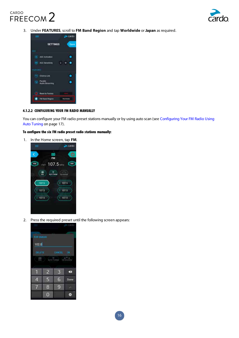

3. Under FEATURES, scroll to FM Band Region and tap Worldwide or Japan as required.



## 4.1.2.2 CONFIGURING YOUR FM RADIO MANUALLY

You can configure your FM radio preset stations manually or by using auto scan (see Configuring Your FM Radio Using Auto Tuning on page 17).

## To configure the six FM radio preset radio stations manually:





2. Press the required preset until the following screen appears:

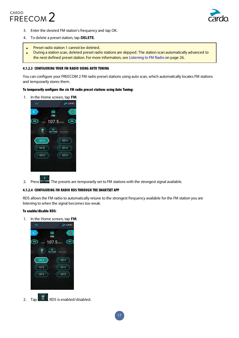



- 3. Enter the desired FM station's frequency and tap OK.
- 4. To delete a preset station, tap **DELETE**.
- Preset radio station 1 cannot be deleted.
- During a station scan, deleted preset radio stations are skipped. The station scan automatically advanced to the next defined preset station. For more information, see Listening to FM Radio on page 26.

#### 4.1.2.3 CONFIGURING YOUR FM RADIO USING AUTO TUNING

You can configure your FREECOM 2 FM radio preset stations using auto scan, which automatically locates FM stations and temporarily stores them.

#### To temporarily configure the six FM radio preset stations using Auto Tuning:

1. In the Home screen, tap FM.



2. Press Aurothumpe. The presets are temporarily set to FM stations with the strongest signal available.

#### 4.1.2.4 CONFIGURING FM RADIO RDS THROUGH THE SMARTSET APP

RDS allows the FM radio to automatically retune to the strongest frequency available for the FM station you are listening to when the signal becomes too weak.

## To enable/disable RDS:

1. In the Home screen, tap FM.



2. Tap  $\left(\begin{array}{c} \omega \\ \omega \end{array}\right)$ . RDS is enabled/disabled.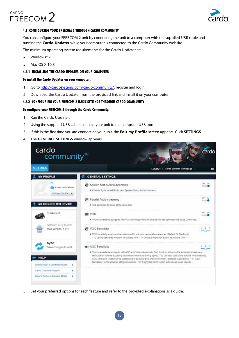

## 4.2 CONFIGURING YOUR FREECOM 2 THROUGH CARDO COMMUNITY

You can configure your FREECOM 2 unit by connecting the unit to a computer with the supplied USB cable and running the **Cardo Updater** while your computer is connected to the Cardo Community website.

The minimum operating system requirements for the Cardo Updater are:

- Windows<sup>®</sup> 7
- Mac OS X 10.8

## 4.2.1 INSTALLING THE CARDO UPDATER ON YOUR COMPUTER

### To install the Cardo Updater on your computer:

- 1. Go to http://cardosystems.com/cardo-community/, register and login.
- 2. Download the Cardo Updater from the provided link and install it on your computer.

## 4.2.2 CONFIGURING YOUR FREECOM 2 BASIC SETTINGS THROUGH CARDO COMMUNITY

#### To configure your FREECOM 2 through the Cardo Community:

- 1. Run the Cardo Updater.
- 2. Using the supplied USB cable, connect your unit to the computer USB port.
- 3. If this is the first time you are connecting your unit, the **Edit my Profile** screen appears. Click **SETTINGS**.
- 4. The **GENERAL SETTINGS** window appears:



5. Set your preferred options for each feature and refer to the provided explanations as a quide.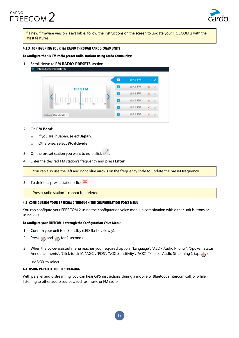

If a new firmware version is available, follow the instructions on the screen to update your FREECOM 2 with the latest features.

#### 4.2.3 CONFIGURING YOUR FM RADIO THROUGH CARDO COMMUNITY

To configure the six FM radio preset radio stations using Cardo Community:

1. Scroll down to FM RADIO PRESETS section.

|       |              |     | 107.5 FM |  |
|-------|--------------|-----|----------|--|
|       | 107.5 FM     |     | 107.5 FM |  |
|       |              |     | 107.5 FM |  |
|       |              |     | 107.5 FM |  |
| 106.5 | 107.5<br>107 | tоč | 107.5 FM |  |

## 2. On FM Band:

- If you are in Japan, select Japan.
- Otherwise, select Worldwide.
- 3. On the preset station you want to edit, click
- 4. Enter the desired FM station's frequency and press **Enter**.

You can also use the left and right blue arrows on the frequency scale to update the preset frequency.

5. To delete a preset station, click  $\blacksquare$ .

Preset radio station 1 cannot be deleted.

# 4.3 CONFIGURING YOUR FREECOM 2 THROUGH THE CONFIGURATION VOICE MENU

You can configure your FREECOM 2 using the configuration voice menu in combination with either unit buttons or using VOX.

#### To configure your FREECOM 2 through the Configuration Voice Menu:

- 1. Confirm your unit is in Standby (LED flashes slowly).
- 2. Press  $\binom{2}{1}$  and  $\binom{3}{1}$  for 2 seconds.
- 3. When the voice-assisted menu reaches your required option ("Language", "A2DP Audio Priority", "Spoken Status Announcements", "Click-to-Link", "AGC", "RDS", "VOX Sensitivity", "VOX", "Parallel Audio Streaming"), tap (1) or

use VOX to select.

#### 4.4 USING PARALLEL AUDIO STREAMING

With parallel audio streaming, you can hear GPS instructions during a mobile or Bluetooth intercom call, or while listening to other audio sources, such as music or FM radio.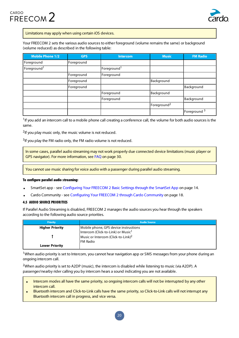



Limitations may apply when using certain iOS devices.

Your FREECOM 2 sets the various audio sources to either foreground (volume remains the same) or background (volume reduced) as described in the following table:

| <b>Mobile Phone 1/2</b> | <b>GPS</b> | Intercom                | <b>Music</b>            | <b>FM Radio</b>         |
|-------------------------|------------|-------------------------|-------------------------|-------------------------|
| Foreground              | Foreground |                         |                         |                         |
| Foreground <sup>1</sup> |            | Foreground <sup>1</sup> |                         |                         |
|                         | Foreground | Foreground              |                         |                         |
|                         | Foreground |                         | Background              |                         |
|                         | Foreground |                         |                         | Background              |
|                         |            | Foreground              | Background              |                         |
|                         |            | Foreground              |                         | Background              |
|                         |            |                         | Foreground <sup>2</sup> |                         |
|                         |            |                         |                         | Foreground <sup>3</sup> |

 $1$  If you add an intercom call to a mobile phone call creating a conference call, the volume for both audio sources is the same.

<sup>2</sup>If you play music only, the music volume is not reduced.

 $3$  if you play the FM radio only, the FM radio volume is not reduced.

In some cases, parallel audio streaming may not work properly due connected device limitations (music player or GPS navigator). For more information, see FAQ on page 30.

You cannot use music sharing for voice audio with a passenger during parallel audio streaming.

#### To configure parallel audio streaming:

- SmartSet app see Configuring Your FREECOM 2 Basic Settings through the SmartSet App on page 14.
- Cardo Community see Configuring Your FREECOM 2 through Cardo Community on page 18.

## **4.5 AUDIO SOURCE PRIORITIES**

If Parallel Audio Streaming is disabled, FREECOM 2 manages the audio sources you hear through the speakers according to the following audio source priorities.

| <b>Priority</b>        | <b>Audio Source</b>                            |
|------------------------|------------------------------------------------|
| <b>Higher Priority</b> | Mobile phone, GPS device instructions          |
|                        | Intercom (Click-to-Link) or Music <sup>1</sup> |
|                        | Music or Intercom (Click-to-Link) <sup>2</sup> |
|                        | IFM Radio                                      |
| <b>Lower Priority</b>  |                                                |

<sup>1</sup> When audio priority is set to Intercom, you cannot hear navigation app or SMS messages from your phone during an ongoing intercom call.

<sup>2</sup>When audio priority is set to A2DP (music), the intercom is disabled while listening to music (via A2DP). A passenger/nearby rider calling you by intercom hears a sound indicating you are not available.

- Intercom modes all have the same priority, so ongoing intercom calls will not be interrupted by any other intercom call.
- Bluetooth intercom and Click-to-Link calls have the same priority, so Click-to-Link calls will not interrupt any Bluetooth intercom call in progress, and vice versa.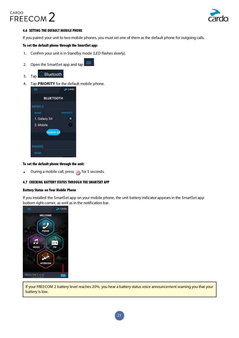

# 4.6 SETTING THE DEFAULT MOBILE PHONE

If you paired your unit to two mobile phones, you must set one of them as the default phone for outgoing calls.

### To set the default phone through the SmartSet app:

- 1. Confirm your unit is in Standby mode (LED flashes slowly).
- 2. Open the SmartSet app and tap
- 3. Tap  $\bigcirc$  Bluetooth
- 4. Tap PRIORITY for the default mobile phone.



#### To set the default phone through the unit:

• During a mobile call, press  $\binom{3}{1}$  for 5 seconds.

### 4.7 CHECKING BATTERY STATUS THROUGH THE SMARTSET APP

#### **Battery Status on Your Mobile Phone**

If you installed the SmartSet app on your mobile phone, the unit battery indicator appears in the SmartSet app bottom right-corner, as well as in the notification bar.



If your FREECOM 2 battery level reaches 20%, you hear a battery status voice announcement warning you that your battery is low.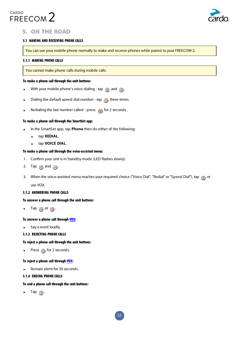



# 5. ON THE ROAD

### 5.1 MAKING AND RECEIVING PHONE CALLS

You can use your mobile phone normally to make and receive phones while paired to your FREECOM 2.

#### 5.1.1 MAKING PHONE CALLS

You cannot make phone calls during mobile calls.

#### To make a phone call through the unit buttons:

- With your mobile phone's voice dialing tap  $\binom{2}{\cdot}$  and  $\binom{3}{\cdot}$ .
- Dialing the default speed dial number tap  $\bigcirc$  three times.
- Redialing the last number called press  $\bigoplus$  for 2 seconds.

#### To make a phone call through the SmartSet app:

- In the SmartSet app, tap Phone then do either of the following:
	- **.** tap **REDIAL**.
	- **.** tap VOICE DIAL.

#### To make a phone call through the voice-assisted menu:

- 1. Confirm your unit is in Standby mode (LED flashes slowly).
- 2. Tap  $\odot$  and  $\odot$ .
- 3. When the voice-assisted menu reaches your required choice ("Voice Dial", "Redial" or "Speed Dial"), tap n or

use VOX.

#### 5.1.2 ANSWERING PHONE CALLS

#### To answer a phone call through the unit buttons:

 $\bullet$  Tap  $\circledast$  or  $\circledast$ .

#### To answer a phone call through VOX:

• Say a word loudly.

#### **5.1.3 REJECTING PHONE CALLS**

#### To reject a phone call through the unit buttons:

• Press  $\bigodot$  for 2 seconds.

#### To reject a phone call through VOX:

Remain silent for 30 seconds.

#### 5.1.4 ENDING PHONE CALLS

#### To end a phone call through the unit buttons:

 $\bullet$  Tap  $\odot$ .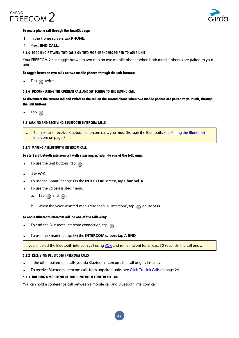



#### To end a phone call through the SmartSet app:

- 1. In the Home screen, tap **PHONE**.
- 2. Press **END CALL**.

#### 5.1.5 TOGGLING BETWEEN TWO CALLS ON TWO MOBILE PHONES PAIRED TO YOUR UNIT

Your FREECOM 2 can toggle between two calls on two mobile phones when both mobile phones are paired to your .unit

#### To toggle between two calls on two mobile phones through the unit buttons:

Tap  $\circledbullet$  twice.

#### 5.1.6 DISCONNECTING THE CURRENT CALL AND SWITCHING TO THE SECOND CALL

To disconnect the current call and switch to the call on the second phone when two mobile phones are paired to your unit, through the unit buttons:

 $\bullet$  Tap  $\circledcirc$ 

#### 5.2 MAKING AND RECEIVING BLUETOOTH INTERCOM CALLS

To make and receive Bluetooth intercom calls, you must first pair the Bluetooth, see Pairing the Bluetooth Intercom on page 8.

#### 5.2.1 MAKING A BLUETOOTH INTERCOM CALL

#### To start a Bluetooth intercom call with a passenger/rider, do one of the following:

- **.** To use the unit buttons, tap  $\left(\begin{matrix} 0 \\ 0 \end{matrix}\right)$ .
- Use VOX.
- To use the SmartSet app: On the **INTERCOM** screen, tap **Channel A**.
- To use the voice-assisted menu:
	- a. Tap  $\circled{a}$  and  $\circled{a}$ .
	- b. When the voice-assisted menu reaches "Call Intercom", tap  $\binom{1}{\mathbb{N}}$  or use VOX.

#### To end a Bluetooth intercom call, do one of the following:

- To end the Bluetooth intercom connection, tap  $\binom{m}{k}$ .
- To use the SmartSet app: On the **INTERCOM** screen, tap A END.

If you initiated the Bluetooth intercom call using VOX and remain silent for at least 30 seconds, the call ends.

#### 5.2.2 RECEIVING BLUETOOTH INTERCOM CALLS

- If the other paired unit calls you via Bluetooth intercom, the call begins instantly.
- To receive Bluetooth intercom calls from unpaired units, see Click-To-Link Calls on page 24.

#### 5.2.3 HOLDING A MOBILE/BLUETOOTH INTERCOM CONFERENCE CALL

You can hold a conference call between a mobile call and Bluetooth intercom call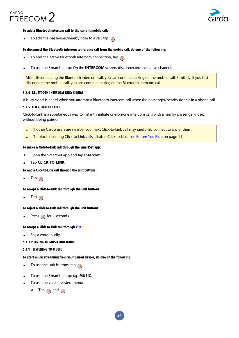

### To add a Bluetooth intercom call to the current mobile call:

• To add the passenger/nearby rider to a call, tap  $\binom{m}{n}$ .

## To disconnect the Bluetooth intercom conference call from the mobile call, do one of the following:

- To end the active Bluetooth intercom connection, tap  $\binom{n}{2}$ .
- To use the SmartSet app: On the **INTERCOM** screen, disconnected the active channel.

After disconnecting the Bluetooth intercom call, you can continue talking on the mobile call. Similarly, if you first disconnect the mobile call, you can continue talking on the Bluetooth intercom call.

#### **5.2.4 BLUETOOTH INTERCOM BUSY SIGNAL**

A busy signal is heard when you attempt a Bluetooth intercom call when the passenger/nearby rider is in a phone call.

## 5.2.5 CLICK-TO-LINK CALLS

Click-to-Link is a spontaneous way to instantly initiate one-on-one intercom calls with a nearby passenger/rider, without being paired.

- If other Cardo users are nearby, your next Click-to-Link call may randomly connect to any of them.
- To block incoming Click-to-Link calls, disable Click-to-Link (see Before You Ride on page 11).

## To make a Click-to-Link call through the SmartSet app:

- 1. Open the SmartSet app and tap **Intercom**.
- 2. Tap **CLICK TO LINK**.

### To end a Click-to-Link call through the unit buttons:

 $\bullet$  Tap  $\circledA$ .

#### To accept a Click-to-Link call through the unit buttons:

 $\text{Tap}(\mathbf{a})$ .

#### To reject a Click-to-Link call through the unit buttons:

. Press n for 2 seconds.

#### To accept a Click-to-Link call through VOX:

Say a word loudly.

# 5.3 LISTENING TO MUSIC AND RADIO

#### 5.3.1 LISTENING TO MUSIC

# To start music streaming from your paired device, do one of the following:

- **.** To use the unit buttons: tap  $\left(\bullet\right)$ .
- To use the SmartSet app: tap **MUSIC**.
- To use the voice-assisted menu:
	- a. Tap  $\bigcirc$  and  $\bigcirc$ .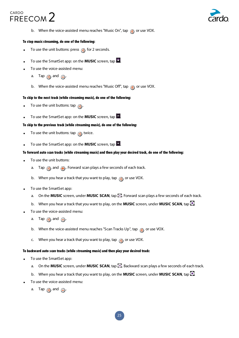



b. When the voice-assisted menu reaches "Music On", tap  $\binom{1}{\sqrt{2}}$  or use VOX.

## To stop music streaming, do one of the following:

- To use the unit buttons: press  $\bigodot$  for 2 seconds.
- To use the SmartSet app: on the **MUSIC** screen, tap
- To use the voice-assisted menu:
	- a. Tap  $\bigcirc$  and  $\bigcirc$ .
	- b. When the voice-assisted menu reaches "Music Off", tap  $\binom{a}{b}$  or use VOX.

#### To skip to the next track (while streaming music), do one of the following:

- **.** To use the unit buttons: tap  $\left( \bullet \right)$ .
- **.** To use the SmartSet app: on the **MUSIC** screen, tap

#### To skip to the previous track (while streaming music), do one of the following:

- To use the unit buttons: tap  $\left( \bullet \right)$  twice.
- **.** To use the SmartSet app: on the **MUSIC** screen, tap

#### To forward auto scan tracks (while streaming music) and then play your desired track, do one of the following:

- To use the unit buttons:
	- a. Tap  $\bigcirc$  and  $\bigoplus$ . Forward scan plays a few seconds of each track.
	- b. When you hear a track that you want to play, tap  $\bigcirc$  or use VOX.
- To use the SmartSet app:
	- a. On the **MUSIC** screen, under **MUSIC SCAN**, tap **E.** Forward scan plays a few seconds of each track.
	- b. When you hear a track that you want to play, on the **MUSIC** screen, under **MUSIC SCAN**, tap
- To use the voice-assisted menu:
	- a. Tap  $\binom{n}{2}$  and  $\binom{n}{2}$ .
	- b. When the voice-assisted menu reaches "Scan Tracks Up", tap  $\bigcirc$  or use VOX.
	- c. When you hear a track that you want to play, tap  $\binom{2}{1}$  or use VOX.

#### To backward auto scan tracks (while streaming music) and then play your desired track:

- To use the SmartSet app:
	- a. On the **MUSIC** screen, under **MUSIC SCAN**, tap **...** Backward scan plays a few seconds of each track.
	- b. When you hear a track that you want to play, on the **MUSIC** screen, under **MUSIC SCAN**, tap
- To use the voice-assisted menu:
	- a. Tap  $\circledcirc$  and  $\circledcirc$ .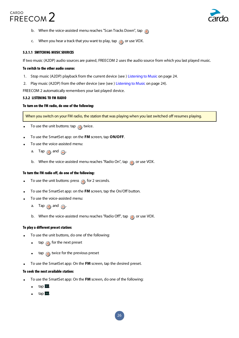

- b. When the voice-assisted menu reaches "Scan Tracks Down", tap  $\binom{m}{n}$
- c. When you hear a track that you want to play, tap  $\bigcirc$  or use VOX.

#### 5.3.1.1 SWITCHING MUSIC SOURCES

If two music (A2DP) audio sources are paired, FREECOM 2 uses the audio source from which you last played music.

#### To switch to the other audio source:

- 1. Stop music (A2DP) playback from the current device (see ) Listening to Music on page 24.
- 2. Play music (A2DP) from the other device (see (see ) Listening to Music on page 24).

FREECOM 2 automatically remembers your last played device.

#### 5.3.2 LISTENING TO FM RADIO

#### To turn on the FM radio, do one of the following:

When you switch on your FM radio, the station that was playing when you last switched off resumes playing.

- To use the unit buttons: tap  $\bigcirc$  twice.
- To use the SmartSet app: on the FM screen, tap ON/OFF.
- To use the voice-assisted menu:
	- a. Tap  $\circledcirc$  and  $\circledcirc$ .
	- b. When the voice-assisted menu reaches "Radio On", tap  $\eta$  or use VOX.

#### To turn the FM radio off, do one of the following:

- To use the unit buttons: press  $\odot$  for 2 seconds.
- **.** To use the SmartSet app: on the FM screen, tap the On/Off button.
- To use the voice-assisted menu:
	- a. Tap  $\circledcirc$  and  $\circledcirc$ .
	- b. When the voice-assisted menu reaches "Radio Off", tap  $\bigcirc$  or use VOX.

#### To play a different preset station:

- To use the unit buttons, do one of the following:
	- $\quad$  tap  $\qquad \bullet$  for the next preset
	- tap  $\left(\bullet\right)$  twice for the previous preset
- **.** To use the SmartSet app: On the FM screen, tap the desired preset.

#### To seek the next available station:

- To use the SmartSet app: On the FM screen, do one of the following:
	- $tan = 1$ .
	- $tan \$ .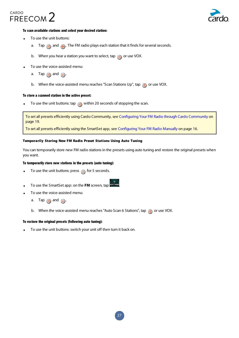



## To scan available stations and select your desired station:

- To use the unit buttons:
	- a. Tap  $\bigodot$  and  $\bigoplus$ . The FM radio plays each station that it finds for several seconds.
	- b. When you hear a station you want to select, tap  $\bigcirc$  or use VOX.
- To use the voice-assisted menu:
	- a. Tap  $\bigcirc$  and  $\bigcirc$ .
	- b. When the voice-assisted menu reaches "Scan Stations Up", tap  $\binom{1}{\mathbb{N}}$  or use VOX.

#### To store a scanned station in the active preset:

To use the unit buttons: tap  $\odot$  within 20 seconds of stopping the scan.

To set all presets efficiently using Cardo Community, see Configuring Your FM Radio through Cardo Community on page 19.

To set all presets efficiently using the SmartSet app, see Configuring Your FM Radio Manually on page 16.

#### Temporarily Storing New FM Radio Preset Stations Using Auto Tuning

You can temporarily store new FM radio stations in the presets using auto tuning and restore the original presets when you want.

#### To temporarily store new stations in the presets (auto tuning):

- To use the unit buttons: press  $\bigcirc$  for 5 seconds.
- To use the SmartSet app: on the FM screen, tap **Supply**
- To use the voice-assisted menu:
	- a. Tap  $\bigcirc$  and  $\bigcirc$ .
	- b. When the voice-assisted menu reaches "Auto Scan 6 Stations", tap  $\bigcirc$  or use VOX.

### To restore the original presets (following auto tuning):

To use the unit buttons: switch your unit off then turn it back on.

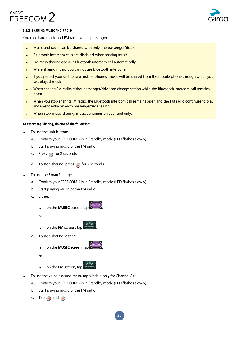

## 5.3.3 SHARING MUSIC AND RADIO

You can share music and FM radio with a passenger.

- Music and radio can be shared with only one passenger/rider.
- . Bluetooth intercom calls are disabled when sharing music.
- FM radio sharing opens a Bluetooth intercom call automatically.
- While sharing music, you cannot use Bluetooth intercom.
- If you paired your unit to two mobile phones, music will be shared from the mobile phone through which you last played music.
- When sharing FM radio, either passenger/rider can change station while the Bluetooth intercom call remains open.
- When you stop sharing FM radio, the Bluetooth intercom call remains open and the FM radio continues to play independently on each passenger/rider's unit.
- When stop music sharing, music continues on your unit only.

#### To start/stop sharing, do one of the following:

- To use the unit buttons:
	- a. Confirm your FREECOM 2 is in Standby mode (LED flashes slowly).
	- b. Start playing music or the FM radio.
	- c. Press  $\bigcap$  for 2 seconds.
	- d. To stop sharing, press  $\bigcap$  for 2 seconds.
- To use the SmartSet app:
	- a. Confirm your FREECOM 2 is in Standby mode (LED flashes slowly).
	- b. Start playing music or the FM radio.
	- c. Either:
		- on the **MUSIC** screen, tap (5.32)
		- or
		- **.** on the **FM** screen, tap
	- d. To stop sharing, either:
		- on the **MUSIC** screen, tap
		- or
		- **.** on the **FM** screen, tap
- To use the voice-assisted menu (applicable only for Channel A):
	- a. Confirm your FREECOM 2 is in Standby mode (LED flashes slowly).
	- b. Start playing music or the FM radio.
	- c. Tap  $\binom{2}{2}$  and  $\binom{2}{2}$ .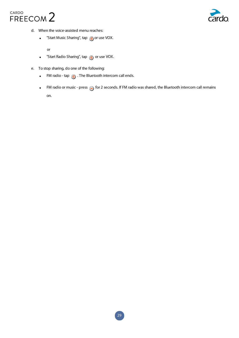



- d. When the voice-assisted menu reaches:
	- "Start Music Sharing", tap  $\binom{m}{n}$  or use VOX.

or

- **.** "Start Radio Sharing", tap  $\bigcirc$  or use VOX.
- e. To stop sharing, do one of the following:
	- FM radio tap  $\binom{m}{n}$  . The Bluetooth intercom call ends.
	- FM radio or music press  $\bigcirc$  for 2 seconds. If FM radio was shared, the Bluetooth intercom call remains .on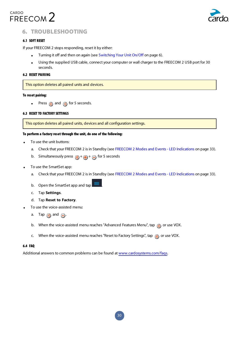

# **6. TROUBLESHOOTING**

# 6.1 SOFT RESET

If your FREECOM 2 stops responding, reset it by either:

- Turning it off and then on again (see Switching Your Unit On/Off on page 6).
- Using the supplied USB cable, connect your computer or wall charger to the FREECOM 2 USB port for 30 seconds.

### **6.2 RESET PAIRING**

This option deletes all paired units and devices.

#### To reset pairing:

• Press  $\binom{3}{2}$  and  $\binom{3}{2}$  for 5 seconds.

### **6.3 RESET TO FACTORY SETTINGS**

This option deletes all paired units, devices and all configuration settings.

#### To perform a factory reset through the unit, do one of the following:

- To use the unit buttons:
	- a. Check that your FREECOM 2 is in Standby (see FREECOM 2 Modes and Events LED Indications on page 33).
	- b. Simultaneously press  $\binom{n}{k} + \binom{n}{k}$  for 5 seconds
- To use the SmartSet app:
	- a. Check that your FREECOM 2 is in Standby (see FREECOM 2 Modes and Events LED Indications on page 33).
	- b. Open the SmartSet app and tap
	- c. Tap Settings.
	- $d.$  Tap **Reset to Factory**.
- To use the voice-assisted menu:
	- a. Tap  $\bigcirc$  and  $\bigcirc$ .
	- b. When the voice-assisted menu reaches "Advanced Features Menu", tap on use VOX.
	- c. When the voice-assisted menu reaches "Reset to Factory Settings", tap  $\binom{m}{n}$  or use VOX.

#### FAQ 6.4

Additional answers to common problems can be found at www.cardosystems.com/faqs.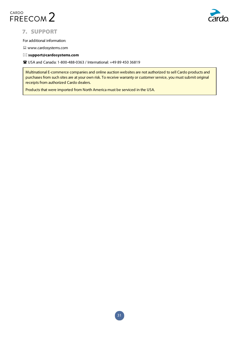



# **7. SUPPORT**

For additional information:

 $\Box$  www.cardosystems.com

 $\boxtimes$  support@cardosystems.com

**36819** USA and Canada: 1-800-488-0363 / International: +49 89 450 36819

Multinational E-commerce companies and online auction websites are not authorized to sell Cardo products and purchases from such sites are at your own risk. To receive warranty or customer service, you must submit original receipts from authorized Cardo dealers.

Products that were imported from North America must be serviced in the USA.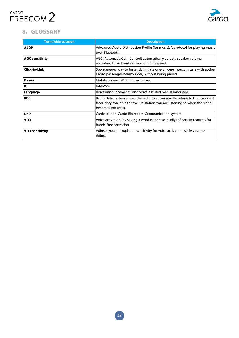

# 8. GLOSSARY

| <b>Term/Abbreviation</b> | <b>Description</b>                                                                                                                                                              |
|--------------------------|---------------------------------------------------------------------------------------------------------------------------------------------------------------------------------|
| A <sub>2</sub> DP        | Advanced Audio Distribution Profile (for music). A protocol for playing music<br>over Bluetooth.                                                                                |
| <b>AGC sensitivity</b>   | AGC (Automatic Gain Control) automatically adjusts speaker volume<br>according to ambient noise and riding speed.                                                               |
| <b>Click-to-Link</b>     | Spontaneous way to instantly initiate one-on-one intercom calls with aother<br>Cardo passenger/nearby rider, without being paired.                                              |
| <b>Device</b>            | Mobile phone, GPS or music player.                                                                                                                                              |
| IC                       | Intercom.                                                                                                                                                                       |
| Language                 | Voice announcements and voice-assisted menus language.                                                                                                                          |
| <b>RDS</b>               | Radio Data System allows the radio to automatically retune to the strongest<br>frequency available for the FM station you are listening to when the signal<br>becomes too weak. |
| <b>Unit</b>              | Cardo or non-Cardo Bluetooth Communication system.                                                                                                                              |
| <b>VOX</b>               | Voice activation (by saying a word or phrase loudly) of certain features for<br>hands-free operation.                                                                           |
| <b>VOX sensitivity</b>   | Adjusts your microphone sensitivity for voice activation while you are<br>riding.                                                                                               |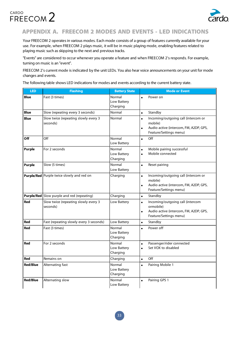



# APPENDIX A. FREECOM 2 MODES AND EVENTS - LED INDICATIONS

Your FREECOM 2 operates in various modes. Each mode consists of a group of features currently available for your use. For example, when FREECOM 2 plays music, it will be in music playing mode, enabling features related to playing music such as skipping to the next and previous tracks.

"Events" are considered to occur whenever you operate a feature and when FREECOM 2's responds. For example, turning on music is an "event".

FREECOM 2's current mode is indicated by the unit LEDs. You also hear voice announcements on your unit for mode changes and events.

The following table shows LED indications for modes and events according to the current battery state.

| <b>LED</b>      | <b>Flashing</b>                                   | <b>Battery State</b>              | <b>Mode or Event</b>                                                                                                                         |
|-----------------|---------------------------------------------------|-----------------------------------|----------------------------------------------------------------------------------------------------------------------------------------------|
| <b>Blue</b>     | Fast (3 times)                                    | Normal<br>Low Battery<br>Charging | Power on                                                                                                                                     |
| <b>Blue</b>     | Slow (repeating every 3 seconds)                  | Normal                            | Standby<br>$\bullet$                                                                                                                         |
| <b>Blue</b>     | Slow twice (repeating slowly every 3<br>seconds)  | Normal                            | Incoming/outgoing call (intercom or<br>$\bullet$<br>mobile)<br>Audio active (intercom, FM, A2DP, GPS,<br>$\bullet$<br>Feature/Settings menu) |
| Off             | Off                                               | Normal<br>Low Battery             | Off<br>$\bullet$                                                                                                                             |
| Purple          | For 2 seconds                                     | Normal<br>Low Battery<br>Charging | Mobile pairing successful<br>$\bullet$<br>Mobile connected<br>$\bullet$                                                                      |
| <b>Purple</b>   | Slow (5 times)                                    | Normal<br>Low Battery             | Reset pairing<br>$\bullet$                                                                                                                   |
|                 | <b>Purple/Red</b> Purple twice slowly and red on  | Charging                          | Incoming/outgoing call (intercom or<br>$\bullet$<br>mobile)<br>Audio active (intercom, FM, A2DP, GPS,<br>$\bullet$<br>Feature/Settings menu) |
|                 | <b>Purple/Red</b> Slow purple and red (repeating) | Charging                          | Standby<br>$\bullet$                                                                                                                         |
| <b>Red</b>      | Slow twice (repeating slowly every 3<br>seconds)  | Low Battery                       | Incoming/outgoing call (intercom<br>$\bullet$<br>ormobile)<br>Audio active (intercom, FM, A2DP, GPS,<br>$\bullet$<br>Feature/Settings menu)  |
| Red             | Fast (repeating slowly every 3 seconds)           | Low Battery                       | Standby<br>$\bullet$                                                                                                                         |
| <b>Red</b>      | Fast (3 times)                                    | Normal<br>Low Battery<br>Charging | Power off<br>$\bullet$                                                                                                                       |
| <b>Red</b>      | For 2 seconds                                     | Normal<br>Low Battery<br>Charging | Passenger/rider connected<br>$\bullet$<br>Set VOX to disabled<br>$\bullet$                                                                   |
| <b>Red</b>      | Remains on                                        | Charging                          | Off<br>$\bullet$                                                                                                                             |
| <b>Red/Blue</b> | Alternating fast                                  | Normal<br>Low Battery<br>Charging | Pairing Mobile 1<br>$\bullet$                                                                                                                |
| <b>Red/Blue</b> | Alternating slow                                  | Normal<br>Low Battery             | Pairing GPS 1<br>$\bullet$                                                                                                                   |